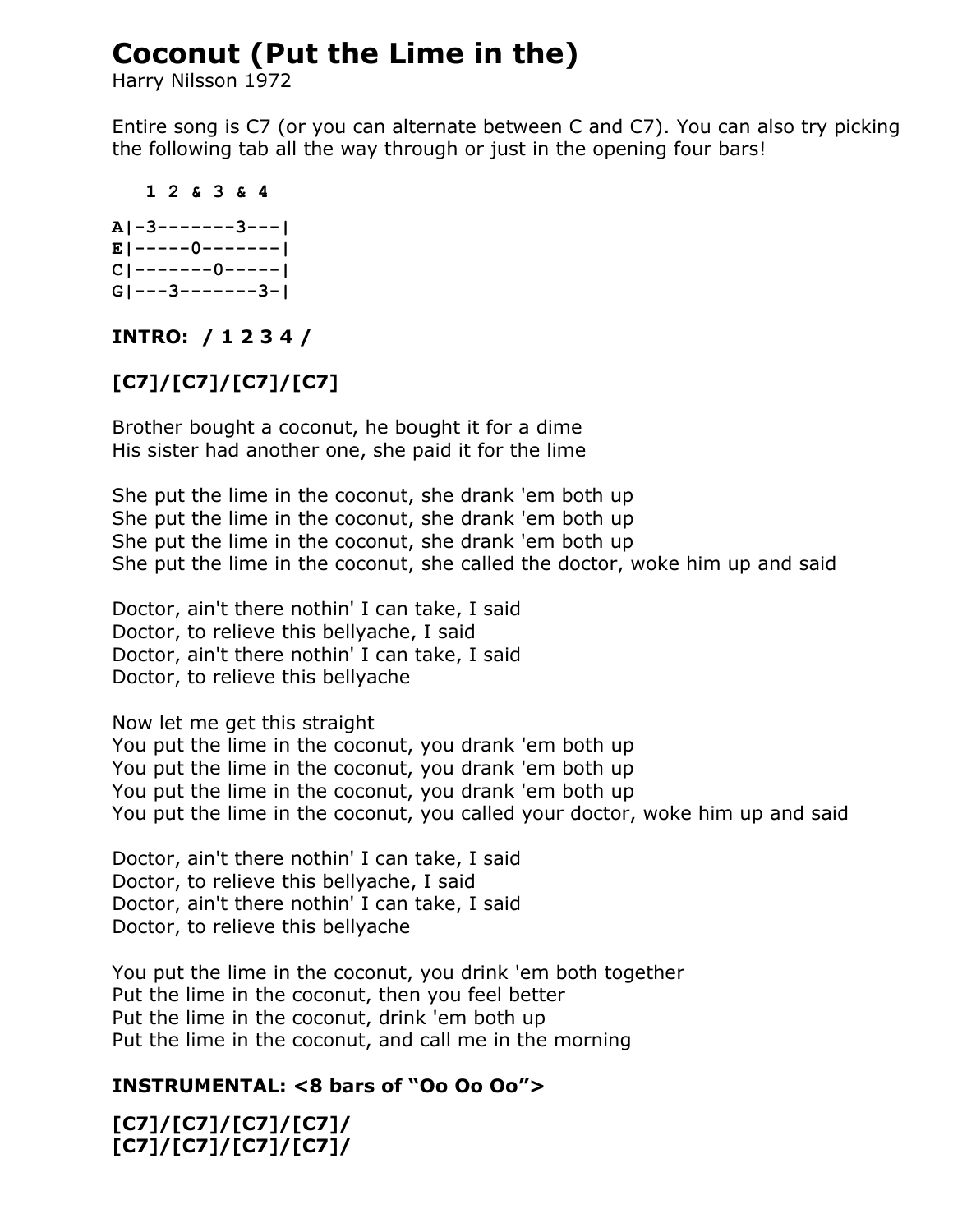# **Coconut (Put the Lime in the)**

Harry Nilsson 1972

Entire song is C7 (or you can alternate between C and C7). You can also try picking the following tab all the way through or just in the opening four bars!

```
 1 2 & 3 & 4
A|-3-------3---|
E|-----0-------|
C|-------0-----|
G|---3-------3-|
```
### **INTRO: / 1 2 3 4 /**

## **[C7]/[C7]/[C7]/[C7]**

Brother bought a coconut, he bought it for a dime His sister had another one, she paid it for the lime

She put the lime in the coconut, she drank 'em both up She put the lime in the coconut, she drank 'em both up She put the lime in the coconut, she drank 'em both up She put the lime in the coconut, she called the doctor, woke him up and said

Doctor, ain't there nothin' I can take, I said Doctor, to relieve this bellyache, I said Doctor, ain't there nothin' I can take, I said Doctor, to relieve this bellyache

Now let me get this straight You put the lime in the coconut, you drank 'em both up You put the lime in the coconut, you drank 'em both up You put the lime in the coconut, you drank 'em both up You put the lime in the coconut, you called your doctor, woke him up and said

Doctor, ain't there nothin' I can take, I said Doctor, to relieve this bellyache, I said Doctor, ain't there nothin' I can take, I said Doctor, to relieve this bellyache

You put the lime in the coconut, you drink 'em both together Put the lime in the coconut, then you feel better Put the lime in the coconut, drink 'em both up Put the lime in the coconut, and call me in the morning

## **INSTRUMENTAL: <8 bars of "Oo Oo Oo">**

**[C7]/[C7]/[C7]/[C7]/ [C7]/[C7]/[C7]/[C7]/**